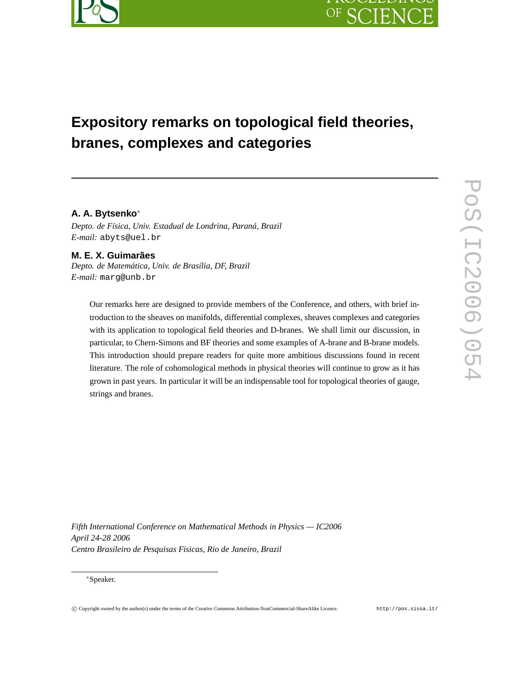

# **Expository remarks on topological field theories, branes, complexes and categories**

# **A. A. Bytsenko**<sup>∗</sup>

*Depto. de Física, Univ. Estadual de Londrina, Paraná, Brazil E-mail:* abyts@uel.br

**M. E. X. Guimarães** *Depto. de Matemática, Univ. de Brasília, DF, Brazil E-mail:* marg@unb.br

> Our remarks here are designed to provide members of the Conference, and others, with brief introduction to the sheaves on manifolds, differential complexes, sheaves complexes and categories with its application to topological field theories and D-branes. We shall limit our discussion, in particular, to Chern-Simons and BF theories and some examples of A-brane and B-brane models. This introduction should prepare readers for quite more ambitious discussions found in recent literature. The role of cohomological methods in physical theories will continue to grow as it has grown in past years. In particular it will be an indispensable tool for topological theories of gauge, strings and branes.

*Fifth International Conference on Mathematical Methods in Physics — IC2006 April 24-28 2006 Centro Brasileiro de Pesquisas Fisicas, Rio de Janeiro, Brazil*

<sup>∗</sup>Speaker.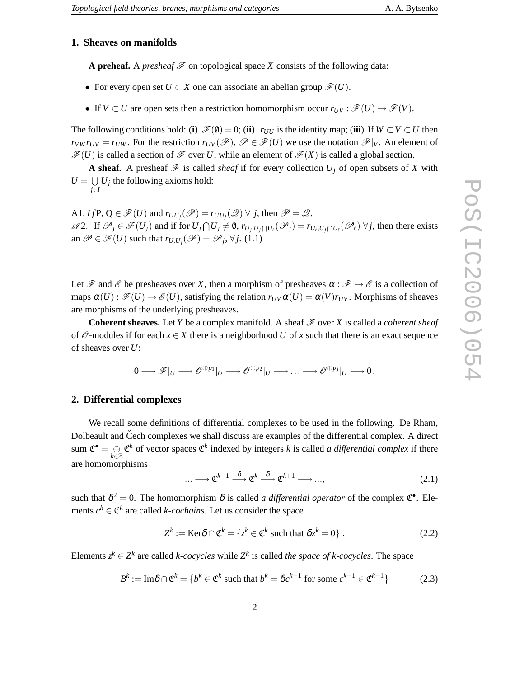## **1. Sheaves on manifolds**

**A preheaf.** A *presheaf*  $\mathcal F$  on topological space *X* consists of the following data:

- For every open set  $U \subset X$  one can associate an abelian group  $\mathscr{F}(U)$ .
- If  $V \subset U$  are open sets then a restriction homomorphism occur  $r_{UV} : \mathscr{F}(U) \to \mathscr{F}(V)$ .

The following conditions hold: (**i**)  $\mathcal{F}(\emptyset) = 0$ ; (**ii**)  $r_{UU}$  is the identity map; (**iii**) If  $W \subset V \subset U$  then  $r_{VW}r_{UV} = r_{UW}$ . For the restriction  $r_{UV}(\mathscr{P})$ ,  $\mathscr{P} \in \mathscr{F}(U)$  we use the notation  $\mathscr{P}|_V$ . An element of  $\mathscr{F}(U)$  is called a section of  $\mathscr{F}$  over *U*, while an element of  $\mathscr{F}(X)$  is called a global section.

**A sheaf.** A presheaf  $\mathcal F$  is called *sheaf* if for every collection  $U_j$  of open subsets of X with  $U = \bigcup U_j$  the following axioms hold: *j*∈*I*

A1. *If*  $P$ ,  $Q \in \mathscr{F}(U)$  and  $r_{UU_j}(\mathscr{P}) = r_{UU_j}(\mathscr{Q}) \ \forall \ j$ , then  $\mathscr{P} = \mathscr{Q}$ .  $\mathscr{A}2.$  If  $\mathscr{P}_j \in \mathscr{F}(U_j)$  and if for  $U_j \cap U_j \neq \emptyset$ ,  $r_{U_j, U_j \cap U_\ell}(\mathscr{P}_j) = r_{U_\ell, U_j \cap U_\ell}(\mathscr{P}_\ell)$   $\forall j$ , then there exists an  $\mathscr{P} \in \mathscr{F}(U)$  such that  $r_{U,U_j}(\mathscr{P}) = \mathscr{P}_j$ ,  $\forall j$ . (1.1)

Let  $\mathscr F$  and  $\mathscr E$  be presheaves over X, then a morphism of presheaves  $\alpha : \mathscr F \to \mathscr E$  is a collection of maps  $\alpha(U): \mathscr{F}(U) \to \mathscr{E}(U)$ , satisfying the relation  $r_{UV}\alpha(U) = \alpha(V)r_{UV}$ . Morphisms of sheaves are morphisms of the underlying presheaves.

**Coherent sheaves.** Let *Y* be a complex manifold. A sheaf  $\mathcal F$  over *X* is called a *coherent sheaf* of  $\mathcal O$ -modules if for each  $x \in X$  there is a neighborhood U of x such that there is an exact sequence of sheaves over *U*:

$$
0\longrightarrow {\mathscr F}|_U\longrightarrow{\mathscr O}^{\oplus p_1}|_U\longrightarrow{\mathscr O}^{\oplus p_2}|_U\longrightarrow\ldots\longrightarrow{\mathscr O}^{\oplus p_j}|_U\longrightarrow 0\,.
$$

#### **2. Differential complexes**

We recall some definitions of differential complexes to be used in the following. De Rham, Dolbeault and Čech complexes we shall discuss are examples of the differential complex. A direct sum  $\mathfrak{C}^{\bullet} = \bigoplus_{k \in \mathbb{Z}} \mathfrak{C}^k$  of vector spaces  $\mathfrak{C}^k$  indexed by integers *k* is called *a differential complex* if there are homomorphisms

$$
\dots \longrightarrow \mathfrak{C}^{k-1} \stackrel{\delta}{\longrightarrow} \mathfrak{C}^k \stackrel{\delta}{\longrightarrow} \mathfrak{C}^{k+1} \longrightarrow \dots,
$$
 (2.1)

such that  $\delta^2 = 0$ . The homomorphism  $\delta$  is called *a differential operator* of the complex  $\mathfrak{C}^{\bullet}$ . Elements  $c^k \in \mathfrak{C}^k$  are called *k-cochains*. Let us consider the space

$$
Z^k := \text{Ker}\delta \cap \mathfrak{C}^k = \{ z^k \in \mathfrak{C}^k \text{ such that } \delta z^k = 0 \} . \tag{2.2}
$$

Elements  $z^k \in Z^k$  are called *k-cocycles* while  $Z^k$  is called *the space of k-cocycles*. The space

$$
B^k := \operatorname{Im} \delta \cap \mathfrak{C}^k = \{ b^k \in \mathfrak{C}^k \text{ such that } b^k = \delta c^{k-1} \text{ for some } c^{k-1} \in \mathfrak{C}^{k-1} \} \tag{2.3}
$$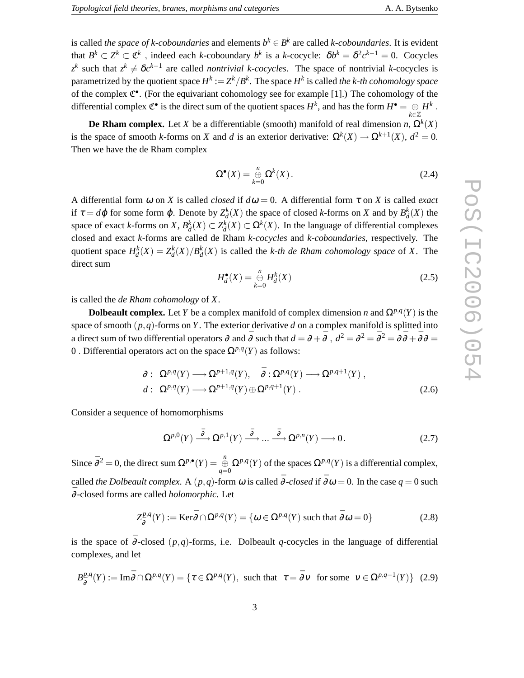is called *the space of k-coboundaries* and elements  $b^k \in B^k$  are called *k-coboundaries*. It is evident that  $B^k \subset Z^k \subset \mathfrak{C}^k$ , indeed each *k*-coboundary  $b^k$  is a *k*-cocycle:  $\delta b^k = \delta^2 c^{k-1} = 0$ . Cocycles  $z^k$  such that  $z^k \neq \delta c^{k-1}$  are called *nontrivial k-cocycles*. The space of nontrivial *k*-cocycles is parametrized by the quotient space  $H^k := Z^k/B^k$ . The space  $H^k$  is called *the k-th cohomology space* of the complex  $\mathfrak{C}^{\bullet}$ . (For the equivariant cohomology see for example [1].) The cohomology of the differential complex  $\mathfrak{C}^{\bullet}$  is the direct sum of the quotient spaces  $H^k$ , and has the form  $H^{\bullet} = \bigoplus\limits_{k \in \mathbb{Z}} H^k$  .

**De Rham complex.** Let *X* be a differentiable (smooth) manifold of real dimension *n*,  $\Omega^k(X)$ is the space of smooth *k*-forms on *X* and *d* is an exterior derivative:  $\Omega^k(X) \to \Omega^{k+1}(X)$ ,  $d^2 = 0$ . Then we have the de Rham complex

$$
\Omega^{\bullet}(X) = \bigoplus_{k=0}^{n} \Omega^{k}(X). \tag{2.4}
$$

A differential form  $\omega$  on *X* is called *closed* if  $d\omega = 0$ . A differential form  $\tau$  on *X* is called *exact* if  $\tau = d\varphi$  for some form  $\varphi$ . Denote by  $Z_d^k(X)$  the space of closed *k*-forms on *X* and by  $B_d^k(X)$  the space of exact *k*-forms on *X*,  $B_d^k(X) \subset Z_d^k(X) \subset \Omega^k(X)$ . In the language of differential complexes closed and exact *k*-forms are called de Rham *k-cocycles* and *k-coboundaries*, respectively. The quotient space  $H_d^k(X) = Z_d^k(X)/B_d^k(X)$  is called the *k-th de Rham cohomology space* of *X*. The direct sum

$$
H_d^{\bullet}(X) = \bigoplus_{k=0}^n H_d^k(X)
$$
\n(2.5)

is called the *de Rham cohomology* of *X*.

**Dolbeault complex.** Let *Y* be a complex manifold of complex dimension *n* and  $\Omega^{p,q}(Y)$  is the space of smooth  $(p, q)$ -forms on *Y*. The exterior derivative *d* on a complex manifold is splitted into a direct sum of two differential operators  $\partial$  and  $\bar{\partial}$  such that  $d=\partial+\bar{\partial}$  ,  $d^2=\partial^2=\bar{\partial}^2=\partial\bar{\partial}+\bar{\partial}\partial=0$ 0. Differential operators act on the space  $\Omega^{p,q}(Y)$  as follows:

$$
\partial: \ \Omega^{p,q}(Y) \longrightarrow \Omega^{p+1,q}(Y), \quad \bar{\partial}: \Omega^{p,q}(Y) \longrightarrow \Omega^{p,q+1}(Y) ,d: \ \Omega^{p,q}(Y) \longrightarrow \Omega^{p+1,q}(Y) \oplus \Omega^{p,q+1}(Y) .
$$
\n(2.6)

Consider a sequence of homomorphisms

$$
\Omega^{p,0}(Y) \stackrel{\bar{\partial}}{\longrightarrow} \Omega^{p,1}(Y) \stackrel{\bar{\partial}}{\longrightarrow} \dots \stackrel{\bar{\partial}}{\longrightarrow} \Omega^{p,n}(Y) \longrightarrow 0.
$$
 (2.7)

Since  $\bar{\partial}^2 = 0$ , the direct sum  $\Omega^{p,\bullet}(Y) = \bigoplus_{q=0}^n \Omega^{p,q}(Y)$  of the spaces  $\Omega^{p,q}(Y)$  is a differential complex, called *the Dolbeault complex*. A  $(p,q)$ -form  $\omega$  is called  $\bar{\partial}$ *-closed* if  $\bar{\partial}\omega = 0$ . In the case  $q = 0$  such ¯<sup>∂</sup> -closed forms are called *holomorphic*. Let

$$
Z_{\bar{\partial}}^{p,q}(Y) := \text{Ker}_{\bar{\partial}} \cap \Omega^{p,q}(Y) = \{ \omega \in \Omega^{p,q}(Y) \text{ such that } \bar{\partial} \omega = 0 \}
$$
 (2.8)

is the space of  $\overline{\partial}$ -closed (*p*,*q*)-forms, i.e. Dolbeault *q*-cocycles in the language of differential complexes, and let

$$
B_{\bar{\partial}}^{p,q}(Y) := \text{Im}\bar{\partial} \cap \Omega^{p,q}(Y) = \{ \tau \in \Omega^{p,q}(Y), \text{ such that } \tau = \bar{\partial} \nu \text{ for some } \nu \in \Omega^{p,q-1}(Y) \} (2.9)
$$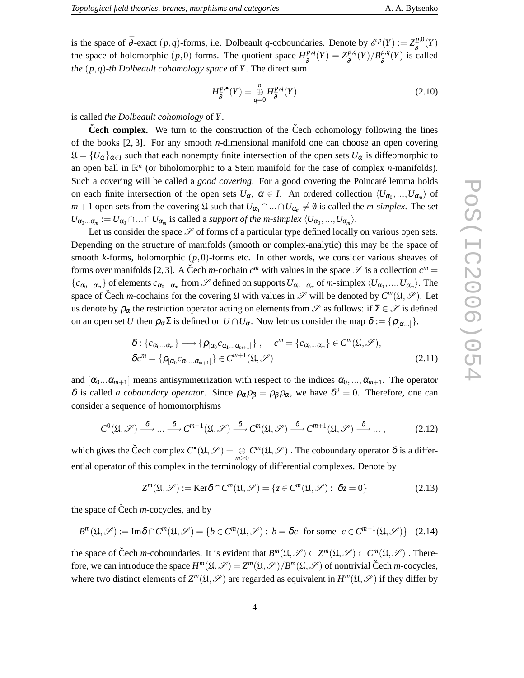$$
H^{p,\bullet}_{\bar{\partial}}(Y) = \bigoplus_{q=0}^{n} H^{p,q}_{\bar{\partial}}(Y)
$$
\n(2.10)

is called *the Dolbeault cohomology* of *Y*.

**Čech complex.** We turn to the construction of the Čech cohomology following the lines of the books [2, 3]. For any smooth *n*-dimensional manifold one can choose an open covering  $\mathfrak{U} = \{U_{\alpha}\}_{{\alpha \in I}}$  such that each nonempty finite intersection of the open sets  $U_{\alpha}$  is diffeomorphic to an open ball in  $\mathbb{R}^n$  (or biholomorphic to a Stein manifold for the case of complex *n*-manifolds). Such a covering will be called a *good covering*. For a good covering the Poincaré lemma holds on each finite intersection of the open sets  $U_{\alpha}$ ,  $\alpha \in I$ . An ordered collection  $\langle U_{\alpha_0},...,U_{\alpha_m}\rangle$  of *m* + 1 open sets from the covering  $\mathfrak{U}$  such that  $U_{\alpha_0} \cap ... \cap U_{\alpha_m} \neq \emptyset$  is called the *m-simplex*. The set  $U_{\alpha_0...\alpha_m} := U_{\alpha_0} \cap ... \cap U_{\alpha_m}$  is called a *support of the m-simplex*  $\langle U_{\alpha_0},...,U_{\alpha_m} \rangle$ .

Let us consider the space  $S$  of forms of a particular type defined locally on various open sets. Depending on the structure of manifolds (smooth or complex-analytic) this may be the space of smooth *k*-forms, holomorphic  $(p,0)$ -forms etc. In other words, we consider various sheaves of forms over manifolds [2, 3]. A Čech *m*-cochain  $c^m$  with values in the space  $\mathscr S$  is a collection  $c^m =$  ${c_{\alpha_0...\alpha_m}}$  of elements  $c_{\alpha_0...\alpha_m}$  from  $\mathscr S$  defined on supports  $U_{\alpha_0...\alpha_m}$  of *m*-simplex  $\langle U_{\alpha_0},...,U_{\alpha_m}\rangle$ . The space of Čech *m*-cochains for the covering  $\mathfrak U$  with values in  $\mathscr S$  will be denoted by  $C^m(\mathfrak U,\mathscr S)$ . Let us denote by  $\rho_{\alpha}$  the restriction operator acting on elements from  $\mathscr S$  as follows: if  $\Sigma \in \mathscr S$  is defined on an open set *U* then  $\rho_{\alpha} \Sigma$  is defined on  $U \cap U_{\alpha}$ . Now letr us consider the map  $\delta := {\rho_{[\alpha]}}$ ,

$$
\delta: \{c_{\alpha_0...\alpha_m}\} \longrightarrow \{\rho_{[\alpha_0}c_{\alpha_1...\alpha_{m+1}]}\}, \quad c^m = \{c_{\alpha_0...\alpha_m}\} \in C^m(\mathfrak{U}, \mathcal{S}),
$$
  

$$
\delta c^m = \{\rho_{[\alpha_0}c_{\alpha_1...\alpha_{m+1}]}\} \in C^{m+1}(\mathfrak{U}, \mathcal{S})
$$
\n(2.11)

and  $[\alpha_0...\alpha_{m+1}]$  means antisymmetrization with respect to the indices  $\alpha_0,...,\alpha_{m+1}$ . The operator  $\delta$  is called *a coboundary operator*. Since  $\rho_{\alpha}\rho_{\beta} = \rho_{\beta}\rho_{\alpha}$ , we have  $\delta^2 = 0$ . Therefore, one can consider a sequence of homomorphisms

$$
C^{0}(\mathfrak{U},\mathscr{S}) \xrightarrow{\delta} \dots \xrightarrow{\delta} C^{m-1}(\mathfrak{U},\mathscr{S}) \xrightarrow{\delta} C^{m}(\mathfrak{U},\mathscr{S}) \xrightarrow{\delta} C^{m+1}(\mathfrak{U},\mathscr{S}) \xrightarrow{\delta} \dots,
$$
 (2.12)

which gives the Čech complex  $C^{\bullet}(\mathfrak{U}, \mathscr{S}) = \bigoplus_{m \geq 0} C^m(\mathfrak{U}, \mathscr{S})$ . The coboundary operator  $\delta$  is a differential operator of this complex in the terminology of differential complexes. Denote by

$$
Z^{m}(\mathfrak{U},\mathscr{S}):=\text{Ker}\delta\cap C^{m}(\mathfrak{U},\mathscr{S})=\{z\in C^{m}(\mathfrak{U},\mathscr{S}): \delta z=0\}
$$
(2.13)

the space of Čech  $m$ -cocycles, and by

$$
B^{m}(\mathfrak{U},\mathscr{S}):=\text{Im}\delta\cap C^{m}(\mathfrak{U},\mathscr{S})=\{b\in C^{m}(\mathfrak{U},\mathscr{S}):b=\delta c\text{ for some }c\in C^{m-1}(\mathfrak{U},\mathscr{S})\}\quad(2.14)
$$

the space of Čech *m*-coboundaries. It is evident that  $B^m(\mathfrak{U}, \mathcal{S}) \subset Z^m(\mathfrak{U}, \mathcal{S}) \subset C^m(\mathfrak{U}, \mathcal{S})$ . Therefore, we can introduce the space  $H^m(\mathfrak{U}, \mathcal{S}) = Z^m(\mathfrak{U}, \mathcal{S})/B^m(\mathfrak{U}, \mathcal{S})$  of nontrivial Čech *m*-cocycles, where two distinct elements of  $Z^m(\mathfrak{U}, \mathcal{S})$  are regarded as equivalent in  $H^m(\mathfrak{U}, \mathcal{S})$  if they differ by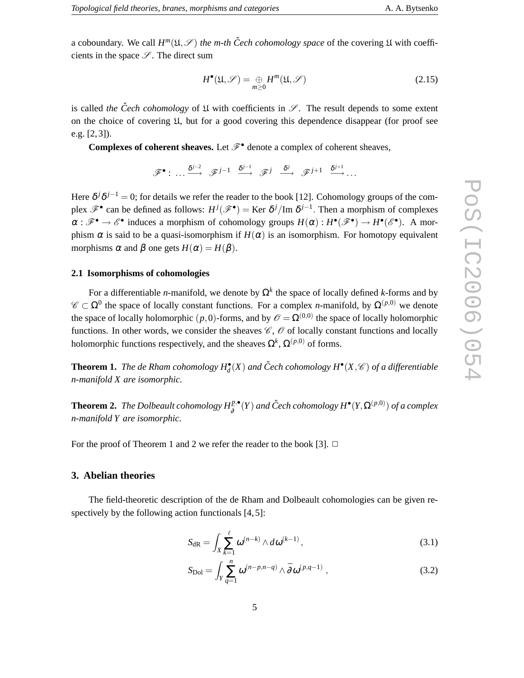$$
H^{\bullet}(\mathfrak{U}, \mathscr{S}) = \bigoplus_{m \geq 0} H^m(\mathfrak{U}, \mathscr{S})
$$
 (2.15)

is called *the* Cech cohomology of  $\mathfrak U$  with coefficients in  $\mathscr S$ . The result depends to some extent on the choice of covering U, but for a good covering this dependence disappear (for proof see e.g. [2, 3]).

**Complexes of coherent sheaves.** Let  $\mathcal{F}^{\bullet}$  denote a complex of coherent sheaves,

 $\mathscr{F}^{\bullet}:\ \ldots \stackrel{\delta^{j-2}}{\longrightarrow} \ \mathscr{F}^{j-1} \ \stackrel{\delta^{j-1}}{\longrightarrow} \ \mathscr{F}^{j} \ \stackrel{\delta^{j}}{\longrightarrow} \ \mathscr{F}^{j+1} \ \stackrel{\delta^{j+1}}{\longrightarrow} \ldots$ 

Here  $\delta^j \delta^{j-1} = 0$ ; for details we refer the reader to the book [12]. Cohomology groups of the complex  $\mathscr{F}^{\bullet}$  can be defined as follows:  $H^{j}(\mathscr{F}^{\bullet}) =$  Ker  $\delta^{j}/\text{Im }\delta^{j-1}$ . Then a morphism of complexes  $\alpha : \mathscr{F}^{\bullet} \to \mathscr{E}^{\bullet}$  induces a morphism of cohomology groups  $H(\alpha) : H^{\bullet}(\mathscr{F}^{\bullet}) \to H^{\bullet}(\mathscr{E}^{\bullet})$ . A morphism  $\alpha$  is said to be a quasi-isomorphism if  $H(\alpha)$  is an isomorphism. For homotopy equivalent morphisms  $\alpha$  and  $\beta$  one gets  $H(\alpha) = H(\beta)$ .

#### **2.1 Isomorphisms of cohomologies**

For a differentiable *n*-manifold, we denote by  $\Omega^k$  the space of locally defined *k*-forms and by  $\mathscr{C} \subset \Omega^0$  the space of locally constant functions. For a complex *n*-manifold, by  $\Omega^{(p,0)}$  we denote the space of locally holomorphic  $(p, 0)$ -forms, and by  $\mathscr{O} = \Omega^{(0,0)}$  the space of locally holomorphic functions. In other words, we consider the sheaves  $\mathscr{C}, \mathscr{O}$  of locally constant functions and locally holomorphic functions respectively, and the sheaves  $\Omega^k$ ,  $\Omega^{(p,0)}$  of forms.

**Theorem 1.** The de Rham cohomology  $H_d^{\bullet}(X)$  and Čech cohomology  $H^{\bullet}(X,\mathscr{C})$  of a differentiable *n-manifold X are isomorphic.*

**Theorem 2.** *The Dolbeault cohomology*  $H^{p,\bullet}_{\bar{\partial}}(Y)$  *and Čech cohomology*  $H^\bullet(Y,\Omega^{(p,0)})$  *of a complex n-manifold Y are isomorphic.*

For the proof of Theorem 1 and 2 we refer the reader to the book [3].  $\Box$ 

## **3. Abelian theories**

The field-theoretic description of the de Rham and Dolbeault cohomologies can be given respectively by the following action functionals [4, 5]:

$$
S_{\mathrm{dR}} = \int_{X} \sum_{k=1}^{\ell} \omega^{(n-k)} \wedge d\omega^{(k-1)}, \qquad (3.1)
$$

$$
S_{\text{Dol}} = \int_{Y} \sum_{q=1}^{n} \omega^{(n-p,n-q)} \wedge \bar{\partial} \omega^{(p,q-1)}, \qquad (3.2)
$$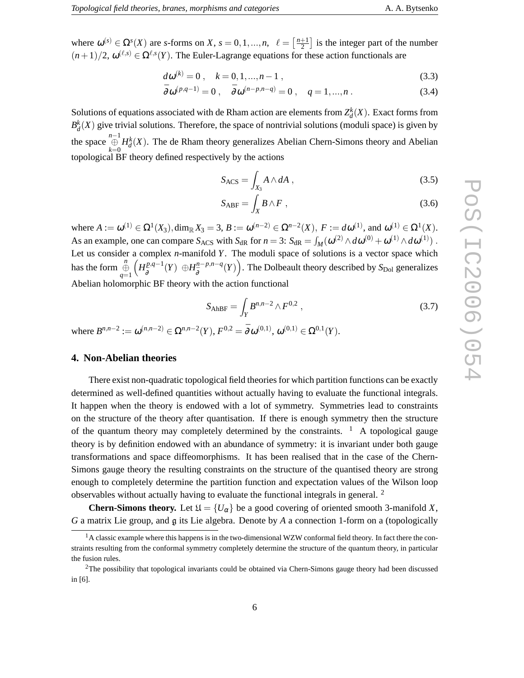where  $\omega^{(s)} \in \Omega^s(X)$  are *s*-forms on *X*,  $s = 0, 1, ..., n$ ,  $\ell = \left[\frac{n+1}{2}\right]$  is the integer part of the number  $(n+1)/2$ ,  $\omega^{(\ell,s)} \in \Omega^{\ell,s}(Y)$ . The Euler-Lagrange equations for these action functionals are

$$
d\omega^{(k)} = 0, \quad k = 0, 1, ..., n - 1,
$$
\n(3.3)

$$
\bar{\partial}\omega^{(p,q-1)} = 0 \ , \quad \bar{\partial}\omega^{(n-p,n-q)} = 0 \ , \quad q = 1,...,n \ . \tag{3.4}
$$

Solutions of equations associated with de Rham action are elements from  $Z_d^k(X)$ . Exact forms from  $B_d^k(X)$  give trivial solutions. Therefore, the space of nontrivial solutions (moduli space) is given by the space  $\bigoplus_{k=0}^{n-1} H_d^k(X)$ . The de Rham theory generalizes Abelian Chern-Simons theory and Abelian topological BF theory defined respectively by the actions

$$
S_{\text{ACS}} = \int_{X_3} A \wedge dA \;, \tag{3.5}
$$

$$
S_{ABF} = \int_X B \wedge F \;, \tag{3.6}
$$

where  $A := \omega^{(1)} \in \Omega^1(X_3)$ ,  $\dim_{\mathbb{R}} X_3 = 3$ ,  $B := \omega^{(n-2)} \in \Omega^{n-2}(X)$ ,  $F := d\omega^{(1)}$ , and  $\omega^{(1)} \in \Omega^1(X)$ . As an example, one can compare  $S_{\text{ACS}}$  with  $S_{\text{dR}}$  for  $n = 3$ :  $S_{\text{dR}} = \int_M (\omega^{(2)} \wedge d\omega^{(0)} + \omega^{(1)} \wedge d\omega^{(1)})$ . Let us consider a complex *n*-manifold *Y*. The moduli space of solutions is a vector space which has the form  $\bigoplus_{q=1}^n$  $(H_5^{p,q-1})$ ¯∂ (*Y*) ⊕*H n*−*p*,*n*−*q* <sup>*n*-*p*,*n*-*q*</sup>(*Y*). The Dolbeault theory described by *S*<sub>Dol</sub> generalizes Abelian holomorphic BF theory with the action functional

$$
S_{\text{AhBF}} = \int_{Y} B^{n,n-2} \wedge F^{0,2} \;, \tag{3.7}
$$

where  $B^{n,n-2} := \omega^{(n,n-2)} \in \Omega^{n,n-2}(Y), F^{0,2} = \overline{\partial} \omega^{(0,1)}, \omega^{(0,1)} \in \Omega^{0,1}(Y).$ 

### **4. Non-Abelian theories**

There exist non-quadratic topological field theories for which partition functions can be exactly determined as well-defined quantities without actually having to evaluate the functional integrals. It happen when the theory is endowed with a lot of symmetry. Symmetries lead to constraints on the structure of the theory after quantisation. If there is enough symmetry then the structure of the quantum theory may completely determined by the constraints.  $\frac{1}{1}$  A topological gauge theory is by definition endowed with an abundance of symmetry: it is invariant under both gauge transformations and space diffeomorphisms. It has been realised that in the case of the Chern-Simons gauge theory the resulting constraints on the structure of the quantised theory are strong enough to completely determine the partition function and expectation values of the Wilson loop observables without actually having to evaluate the functional integrals in general. <sup>2</sup>

**Chern-Simons theory.** Let  $\mathfrak{U} = \{U_{\alpha}\}\$  be a good covering of oriented smooth 3-manifold *X*, *G* a matrix Lie group, and g its Lie algebra. Denote by *A* a connection 1-form on a (topologically

 $<sup>1</sup>$ A classic example where this happens is in the two-dimensional WZW conformal field theory. In fact there the con-</sup> straints resulting from the conformal symmetry completely determine the structure of the quantum theory, in particular the fusion rules.

 $2$ The possibility that topological invariants could be obtained via Chern-Simons gauge theory had been discussed in [6].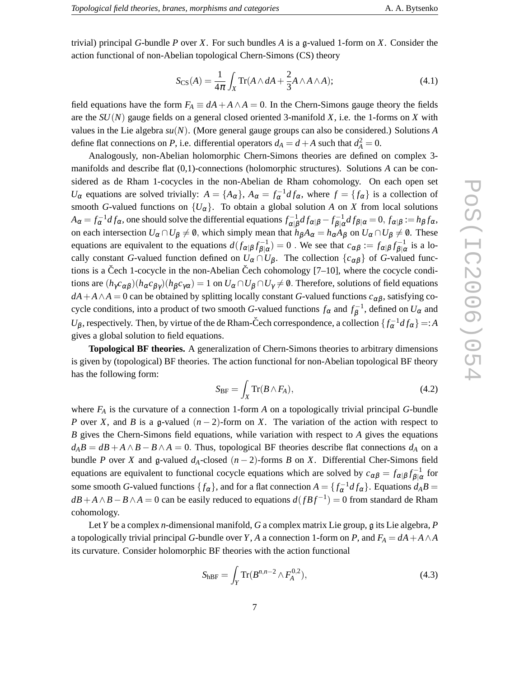trivial) principal *G*-bundle *P* over *X*. For such bundles *A* is a g-valued 1-form on *X*. Consider the action functional of non-Abelian topological Chern-Simons (CS) theory

$$
S_{\text{CS}}(A) = \frac{1}{4\pi} \int_X \text{Tr}(A \wedge dA + \frac{2}{3} A \wedge A \wedge A); \tag{4.1}
$$

field equations have the form  $F_A \equiv dA + A \wedge A = 0$ . In the Chern-Simons gauge theory the fields are the *SU*(*N*) gauge fields on a general closed oriented 3-manifold *X*, i.e. the 1-forms on *X* with values in the Lie algebra *su*(*N*). (More general gauge groups can also be considered.) Solutions *A* define flat connections on *P*, i.e. differential operators  $d_A = d + A$  such that  $d_A^2 = 0$ .

Analogously, non-Abelian holomorphic Chern-Simons theories are defined on complex 3 manifolds and describe flat (0,1)-connections (holomorphic structures). Solutions *A* can be considered as de Rham 1-cocycles in the non-Abelian de Rham cohomology. On each open set *U*<sub>α</sub> equations are solved trivially:  $A = \{A_{\alpha}\}\$ ,  $A_{\alpha} = f_{\alpha}^{-1} df_{\alpha}$ , where  $f = \{f_{\alpha}\}\$ is a collection of smooth *G*-valued functions on  $\{U_\alpha\}$ . To obtain a global solution *A* on *X* from local solutions  $A_{\alpha} = f_{\alpha}^{-1} df_{\alpha}$ , one should solve the differential equations  $f_{\alpha|\beta}^{-1}$  $\frac{1}{\alpha|\beta}df_{\alpha|\beta} - f_{\beta|\alpha}^{-1}$  $\int_{\beta|\alpha}^{-1} df_{\beta|\alpha} = 0, f_{\alpha|\beta} := h_{\beta} f_{\alpha},$ on each intersection  $U_{\alpha} \cap U_{\beta} \neq \emptyset$ , which simply mean that  $h_{\beta}A_{\alpha} = h_{\alpha}A_{\beta}$  on  $U_{\alpha} \cap U_{\beta} \neq \emptyset$ . These equations are equivalent to the equations  $d(f_{\alpha|\beta} f_{\beta|\alpha}^{-1})$  $\delta(\beta|\alpha) = 0$ . We see that  $c_{\alpha\beta} := f_{\alpha|\beta} f_{\beta|\alpha}^{-1}$  $\frac{1}{\beta|\alpha}$  is a locally constant *G*-valued function defined on  $U_\alpha \cap U_\beta$ . The collection  $\{c_{\alpha\beta}\}\$  of *G*-valued functions is a Čech 1-cocycle in the non-Abelian Čech cohomology  $[7-10]$ , where the cocycle conditions are  $(h_\gamma c_{\alpha\beta})(h_\alpha c_{\beta\gamma})(h_\beta c_{\gamma\alpha}) = 1$  on  $U_\alpha \cap U_\beta \cap U_\gamma \neq \emptyset$ . Therefore, solutions of field equations  $dA + A \wedge A = 0$  can be obtained by splitting locally constant *G*-valued functions  $c_{\alpha\beta}$ , satisfying cocycle conditions, into a product of two smooth *G*-valued functions  $f_{\alpha}$  and  $f_{\beta}^{-1}$  $\beta^{-1}$ , defined on  $U_{\alpha}$  and *U*<sub>β</sub>, respectively. Then, by virtue of the de Rham-Čech correspondence, a collection  $\{f_\alpha^{-1} df_\alpha\} =: A$ gives a global solution to field equations.

**Topological BF theories.** A generalization of Chern-Simons theories to arbitrary dimensions is given by (topological) BF theories. The action functional for non-Abelian topological BF theory has the following form:

$$
S_{\rm BF} = \int_X \text{Tr}(B \wedge F_A), \tag{4.2}
$$

where *F<sup>A</sup>* is the curvature of a connection 1-form *A* on a topologically trivial principal *G*-bundle *P* over *X*, and *B* is a g-valued  $(n-2)$ -form on *X*. The variation of the action with respect to *B* gives the Chern-Simons field equations, while variation with respect to *A* gives the equations  $d_A B = dB + A \wedge B - B \wedge A = 0$ . Thus, topological BF theories describe flat connections  $d_A$  on a bundle *P* over *X* and g-valued  $d_A$ -closed  $(n-2)$ -forms *B* on *X*. Differential Cher-Simons field equations are equivalent to functional cocycle equations which are solved by  $c_{\alpha\beta} = f_{\alpha|\beta} f_{\beta|\alpha}^{-1}$  $\frac{\partial}{\partial |\alpha}$  for some smooth *G*-valued functions  $\{f_\alpha\}$ , and for a flat connection  $A = \{f_\alpha^{-1} df_\alpha\}$ . Equations  $d_A B =$  $dB + A \wedge B - B \wedge A = 0$  can be easily reduced to equations  $d(fBf^{-1}) = 0$  from standard de Rham cohomology.

Let *Y* be a complex *n*-dimensional manifold, *G* a complex matrix Lie group, g its Lie algebra, *P* a topologically trivial principal *G*-bundle over *Y*, *A* a connection 1-form on *P*, and  $F_A = dA + A \wedge A$ its curvature. Consider holomorphic BF theories with the action functional

$$
S_{\text{hBF}} = \int_{Y} \text{Tr}(B^{n,n-2} \wedge F_A^{0,2}), \tag{4.3}
$$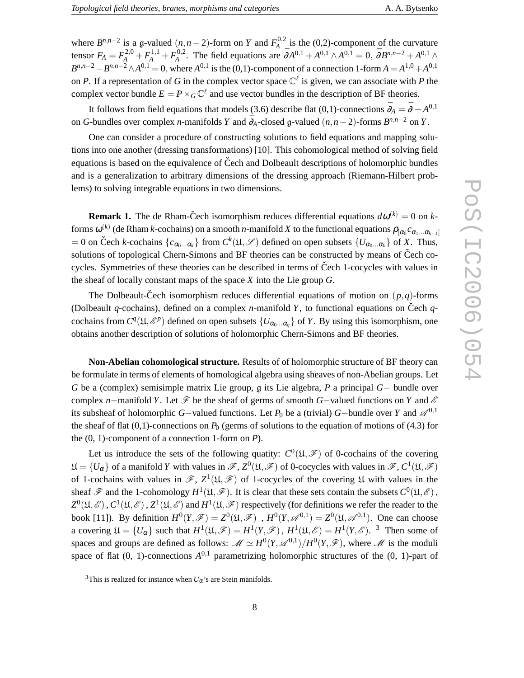where  $B^{n,n-2}$  is a g-valued  $(n, n-2)$ -form on *Y* and  $F_A^{0,2}$  $A^{0,2}$  is the (0,2)-component of the curvature tensor  $F_A = F_A^{2,0} + F_A^{1,1} + F_A^{0,2}$ <sup>0,2</sup>. The field equations are  $\bar{\partial}A^{0,1} + A^{0,1} \wedge A^{0,1} = 0$ ,  $\bar{\partial}B^{n,n-2} + A^{0,1} \wedge$ *B*<sup>*n*,*n*−2</sup> − *B*<sup>*n*,*n*−2</sup> ∧*A*<sup>0,1</sup> = 0, where *A*<sup>0,1</sup> is the (0,1)-component of a connection 1-form *A* = *A*<sup>1,0</sup> + *A*<sup>0,1</sup> on *P*. If a representation of *G* in the complex vector space  $\mathbb{C}^{\ell}$  is given, we can associate with *P* the complex vector bundle  $E = P \times_G \mathbb{C}^{\ell}$  and use vector bundles in the description of BF theories.

It follows from field equations that models (3.6) describe flat (0,1)-connections  $\bar{\partial}_A = \bar{\partial} + A^{0,1}$ on *G*-bundles over complex *n*-manifolds *Y* and  $\bar{\partial}_A$ -closed g-valued  $(n, n-2)$ -forms  $B^{n,n-2}$  on *Y*.

One can consider a procedure of constructing solutions to field equations and mapping solutions into one another (dressing transformations) [10]. This cohomological method of solving field equations is based on the equivalence of Čech and Dolbeault descriptions of holomorphic bundles and is a generalization to arbitrary dimensions of the dressing approach (Riemann-Hilbert problems) to solving integrable equations in two dimensions.

**Remark 1.** The de Rham-Čech isomorphism reduces differential equations  $d\omega^{(k)} = 0$  on *k*forms  $\omega^{(k)}$  (de Rham *k*-cochains) on a smooth *n*-manifold *X* to the functional equations  $\rho_{[\alpha_0}c_{\alpha_1...\alpha_{k+1}]}$  $= 0$  on Čech *k*-cochains  $\{c_{\alpha_0...\alpha_k}\}$  from  $C^k(\mathfrak{U}, \mathscr{S})$  defined on open subsets  $\{U_{\alpha_0...\alpha_k}\}$  of *X*. Thus, solutions of topological Chern-Simons and BF theories can be constructed by means of Čech cocycles. Symmetries of these theories can be described in terms of Čech 1-cocycles with values in the sheaf of locally constant maps of the space *X* into the Lie group *G*.

The Dolbeault-Čech isomorphism reduces differential equations of motion on  $(p, q)$ -forms (Dolbeault *q*-cochains), defined on a complex *n*-manifold *Y*, to functional equations on Čech *q*cochains from  $C^q(\mathfrak{U}, \mathcal{E}^p)$  defined on open subsets  $\{U_{\alpha_0} \dots \alpha_q\}$  of *Y*. By using this isomorphism, one obtains another description of solutions of holomorphic Chern-Simons and BF theories.

**Non-Abelian cohomological structure.** Results of of holomorphic structure of BF theory can be formulate in terms of elements of homological algebra using sheaves of non-Abelian groups. Let *G* be a (complex) semisimple matrix Lie group, g its Lie algebra, *P* a principal *G*− bundle over complex *n*−manifold *Y*. Let  $\mathscr F$  be the sheaf of germs of smooth *G*−valued functions on *Y* and  $\mathscr E$ its subsheaf of holomorphic *G*−valued functions. Let  $P_0$  be a (trivial) *G*−bundle over *Y* and  $\mathscr{A}^{0,1}$ the sheaf of flat  $(0,1)$ -connections on  $P_0$  (germs of solutions to the equation of motions of (4.3) for the (0, 1)-component of a connection 1-form on *P*).

Let us introduce the sets of the following quatity:  $C^0(\mathfrak{U}, \mathscr{F})$  of 0-cochains of the covering  $\mathfrak{U} = \{U_{\alpha}\}\$  of a manifold *Y* with values in  $\mathscr{F}, Z^0(\mathfrak{U}, \mathscr{F})$  of 0-cocycles with values in  $\mathscr{F}, C^1(\mathfrak{U}, \mathscr{F})$ of 1-cochains with values in  $\mathscr{F}$ ,  $Z^1(\mathfrak{U}, \mathscr{F})$  of 1-cocycles of the covering  $\mathfrak U$  with values in the sheaf  $\mathscr F$  and the 1-cohomology  $H^1(\mathfrak U,\mathscr F)$ . It is clear that these sets contain the subsets  $C^0(\mathfrak U,\mathscr E)$ ,  $Z^0(\mathfrak{U},\mathscr{E})$  ,  $C^1(\mathfrak{U},\mathscr{E})$  ,  $Z^1(\mathfrak{U},\mathscr{E})$  and  $H^1(\mathfrak{U},\mathscr{F})$  respectively (for definitions we refer the reader to the book [11]). By definition  $H^0(Y,\mathscr{F}) = Z^0(\mathfrak{U},\mathscr{F})$ ,  $H^0(Y,\mathscr{A}^{0,1}) = Z^0(\mathfrak{U},\mathscr{A}^{0,1})$ . One can choose a covering  $\mathfrak{U} = \{U_{\alpha}\}\$  such that  $H^1(\mathfrak{U}, \mathscr{F}) = H^1(Y, \mathscr{F})$ ,  $H^1(\mathfrak{U}, \mathscr{E}) = H^1(Y, \mathscr{E})$ . <sup>3</sup> Then some of spaces and groups are defined as follows:  $\mathcal{M} \simeq H^0(Y, \mathcal{A}^{0,1})/H^0(Y, \mathcal{F})$ , where  $\mathcal M$  is the moduli space of flat  $(0, 1)$ -connections  $A^{0,1}$  parametrizing holomorphic structures of the  $(0, 1)$ -part of

<sup>&</sup>lt;sup>3</sup>This is realized for instance when  $U_{\alpha}$ 's are Stein manifolds.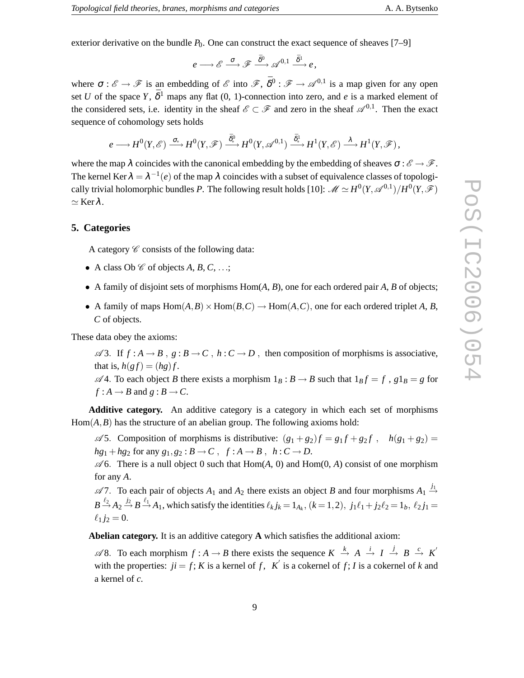exterior derivative on the bundle  $P_0$ . One can construct the exact sequence of sheaves [7–9]

 $e \longrightarrow \mathscr{E} \stackrel{\sigma}{\longrightarrow} \mathscr{F} \stackrel{\bar{\delta}^0}{\longrightarrow} \mathscr{A}^{0,1} \stackrel{\bar{\delta}^1}{\longrightarrow} e \, ,$ 

where  $\sigma : \mathscr{E} \to \mathscr{F}$  is an embedding of  $\mathscr{E}$  into  $\mathscr{F}, \bar{\delta}^0 : \mathscr{F} \to \mathscr{A}^{0,1}$  is a map given for any open set *U* of the space *Y*,  $\bar{\delta}^1$  maps any flat (0, 1)-connection into zero, and *e* is a marked element of the considered sets, i.e. identity in the sheaf  $\mathscr{E} \subset \mathscr{F}$  and zero in the sheaf  $\mathscr{A}^{0,1}$ . Then the exact sequence of cohomology sets holds

$$
e\longrightarrow H^0(Y,\mathscr{E})\stackrel{\sigma_*}{\longrightarrow} H^0(Y,\mathscr{F})\stackrel{\bar\delta^0_*}{\longrightarrow} H^0(Y,\mathscr{A}^{0,1})\stackrel{\bar\delta_*^1}{\longrightarrow} H^1(Y,\mathscr{E})\stackrel{\lambda}{\longrightarrow} H^1(Y,\mathscr{F}),
$$

where the map  $\lambda$  coincides with the canonical embedding by the embedding of sheaves  $\sigma : \mathscr{E} \to \mathscr{F}$ . The kernel Ker  $\lambda = \lambda^{-1}(e)$  of the map  $\lambda$  coincides with a subset of equivalence classes of topologically trivial holomorphic bundles *P*. The following result holds [10]:  $\mathscr{M} \simeq H^0(Y,\mathscr{A}^{0,1})/H^0(Y,\mathscr{F})$  $\simeq$  Ker $\lambda$ .

#### **5. Categories**

A category  $\mathscr C$  consists of the following data:

- A class Ob  $\mathcal C$  of objects  $A, B, C, \ldots;$
- A family of disjoint sets of morphisms Hom(*A*, *B*), one for each ordered pair *A*, *B* of objects;
- A family of maps  $Hom(A, B) \times Hom(B, C) \to Hom(A, C)$ , one for each ordered triplet *A*, *B*, *C* of objects.

These data obey the axioms:

 $\mathscr A$ 3. If  $f : A \to B$ ,  $g : B \to C$ ,  $h : C \to D$ , then composition of morphisms is associative, that is,  $h(gf) = (hg)f$ .

 $\mathscr A$ 4. To each object *B* there exists a morphism  $1_B : B \to B$  such that  $1_B f = f$ ,  $g1_B = g$  for  $f: A \rightarrow B$  and  $g: B \rightarrow C$ .

**Additive category.** An additive category is a category in which each set of morphisms  $Hom(A, B)$  has the structure of an abelian group. The following axioms hold:

 $\mathscr{A}$ 5. Composition of morphisms is distributive:  $(g_1 + g_2)f = g_1f + g_2f$ ,  $h(g_1 + g_2)$  $hg_1 + hg_2$  for any  $g_1, g_2 : B \to C$ ,  $f : A \to B$ ,  $h : C \to D$ .

 $\mathscr A$ 6. There is a null object 0 such that Hom(*A*, 0) and Hom(0, *A*) consist of one morphism for any *A*.

 $\mathscr{A}$ 7. To each pair of objects  $A_1$  and  $A_2$  there exists an object *B* and four morphisms  $A_1 \stackrel{j_1}{\rightarrow}$  $B \stackrel{\ell_2}{\rightarrow} A_2 \stackrel{j_2}{\rightarrow} B \stackrel{\ell_1}{\rightarrow} A_1$ , which satisfy the identities  $\ell_k j_k = 1_{A_k}$ ,  $(k = 1, 2)$ ,  $j_1 \ell_1 + j_2 \ell_2 = 1_b$ ,  $\ell_2 j_1 =$  $\ell_1 j_2 = 0.$ 

**Abelian category.** It is an additive category **A** which satisfies the additional axiom:

 $\mathscr{A}8$ . To each morphism  $f : A \to B$  there exists the sequence  $K \stackrel{k}{\to} A \stackrel{i}{\to} I \stackrel{j}{\to} B \stackrel{c}{\to} K'$ with the properties:  $ji = f$ ; *K* is a kernel of *f*, *K*<sup> $\prime$ </sup> is a cokernel of *f*; *I* is a cokernel of *k* and a kernel of *c*.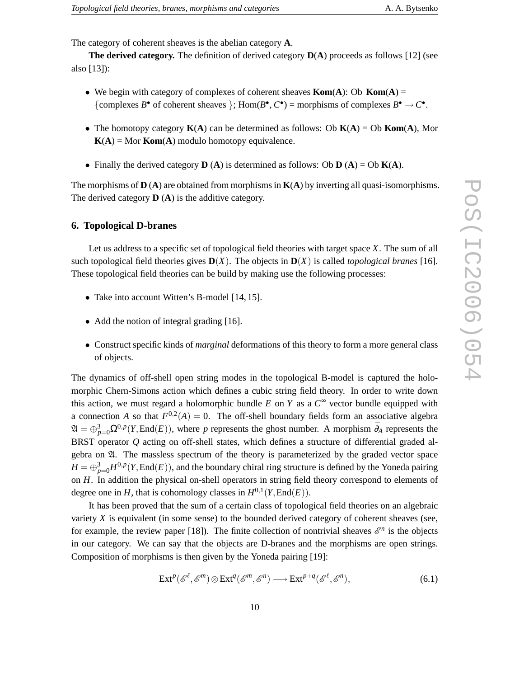The category of coherent sheaves is the abelian category **A**.

**The derived category.** The definition of derived category **D**(**A**) proceeds as follows [12] (see also [13]):

- We begin with category of complexes of coherent sheaves **Kom**(**A**): Ob **Kom**(**A**) = {complexes *B*<sup>•</sup> of coherent sheaves }; Hom(*B*<sup>•</sup>, *C*<sup>•</sup>) = morphisms of complexes *B*<sup>•</sup>  $\rightarrow$  *C*<sup>•</sup>.
- The homotopy category **K**(**A**) can be determined as follows: Ob **K**(**A**) = Ob **Kom**(**A**), Mor  $K(A) = Mor Kom(A)$  modulo homotopy equivalence.
- Finally the derived category  $\bf{D}$  (**A**) is determined as follows: Ob  $\bf{D}$  (**A**) = Ob  $\bf{K}$ (**A**).

The morphisms of  $\bf{D}$  ( $\bf{A}$ ) are obtained from morphisms in  $\bf{K}(\bf{A})$  by inverting all quasi-isomorphisms. The derived category **D** (**A**) is the additive category.

#### **6. Topological D-branes**

Let us address to a specific set of topological field theories with target space *X*. The sum of all such topological field theories gives  $\mathbf{D}(X)$ . The objects in  $\mathbf{D}(X)$  is called *topological branes* [16]. These topological field theories can be build by making use the following processes:

- Take into account Witten's B-model [14, 15].
- Add the notion of integral grading [16].
- Construct specific kinds of *marginal* deformations of this theory to form a more general class of objects.

The dynamics of off-shell open string modes in the topological B-model is captured the holomorphic Chern-Simons action which defines a cubic string field theory. In order to write down this action, we must regard a holomorphic bundle  $E$  on  $Y$  as a  $C^{\infty}$  vector bundle equipped with a connection *A* so that  $F^{0,2}(A) = 0$ . The off-shell boundary fields form an associative algebra  $\mathfrak{A} = \bigoplus_{p=0}^{3} \Omega^{0,p}(Y, \text{End}(E))$ , where *p* represents the ghost number. A morphism  $\bar{\partial}_A$  represents the BRST operator *Q* acting on off-shell states, which defines a structure of differential graded algebra on  $\mathfrak{A}$ . The massless spectrum of the theory is parameterized by the graded vector space  $H = \bigoplus_{p=0}^{3} H^{0,p}(Y, \text{End}(E))$ , and the boundary chiral ring structure is defined by the Yoneda pairing on *H*. In addition the physical on-shell operators in string field theory correspond to elements of degree one in *H*, that is cohomology classes in  $H^{0,1}(Y,\text{End}(E)).$ 

It has been proved that the sum of a certain class of topological field theories on an algebraic variety *X* is equivalent (in some sense) to the bounded derived category of coherent sheaves (see, for example, the review paper [18]). The finite collection of nontrivial sheaves  $\mathscr{E}^n$  is the objects in our category. We can say that the objects are D-branes and the morphisms are open strings. Composition of morphisms is then given by the Yoneda pairing [19]:

$$
\operatorname{Ext}^p(\mathscr{E}^{\ell}, \mathscr{E}^m) \otimes \operatorname{Ext}^q(\mathscr{E}^m, \mathscr{E}^n) \longrightarrow \operatorname{Ext}^{p+q}(\mathscr{E}^{\ell}, \mathscr{E}^n),\tag{6.1}
$$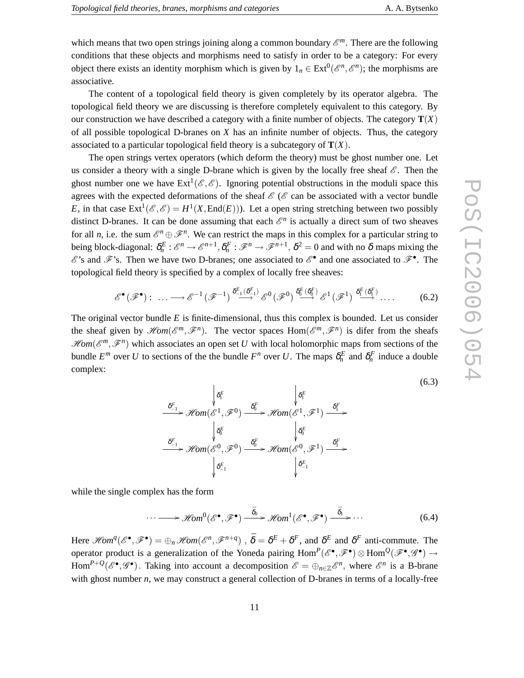(6.3)

which means that two open strings joining along a common boundary  $\mathscr{E}^m$ . There are the following conditions that these objects and morphisms need to satisfy in order to be a category: For every object there exists an identity morphism which is given by  $1_n \in \text{Ext}^0(\mathcal{E}^n, \mathcal{E}^n)$ ; the morphisms are associative.

The content of a topological field theory is given completely by its operator algebra. The topological field theory we are discussing is therefore completely equivalent to this category. By our construction we have described a category with a finite number of objects. The category  $\mathbf{T}(X)$ of all possible topological D-branes on *X* has an infinite number of objects. Thus, the category associated to a particular topological field theory is a subcategory of **T**(*X*).

The open strings vertex operators (which deform the theory) must be ghost number one. Let us consider a theory with a single D-brane which is given by the locally free sheaf  $\mathscr{E}$ . Then the ghost number one we have  $\text{Ext}^1(\mathscr{E}, \mathscr{E})$ . Ignoring potential obstructions in the moduli space this agrees with the expected deformations of the sheaf  $\mathscr{E}$  ( $\mathscr{E}$  can be associated with a vector bundle *E*, in that case  $\text{Ext}^1(\mathscr{E}, \mathscr{E}) = H^1(X, \text{End}(E))$ . Let a open string stretching between two possibly distinct D-branes. It can be done assuming that each  $\mathscr{E}^n$  is actually a direct sum of two sheaves for all *n*, i.e. the sum  $\mathscr{E}^n \oplus \mathscr{F}^n$ . We can restrict the maps in this complex for a particular string to being block-diagonal:  $\delta_n^E : \mathcal{E}^n \to \mathcal{E}^{n+1}, \delta_n^F : \mathcal{F}^n \to \mathcal{F}^{n+1}, \delta^2 = 0$  and with no  $\delta$  maps mixing the  $\mathscr{E}$ 's and  $\mathscr{F}$ 's. Then we have two D-branes; one associated to  $\mathscr{E}^{\bullet}$  and one associated to  $\mathscr{F}^{\bullet}$ . The topological field theory is specified by a complex of locally free sheaves:

$$
\mathscr{E}^{\bullet}(\mathscr{F}^{\bullet}) : \dots \longrightarrow \mathscr{E}^{-1}(\mathscr{F}^{-1}) \stackrel{\delta_{-1}^{E}(\delta_{-1}^{E})}{\longrightarrow} \mathscr{E}^{0}(\mathscr{F}^{0}) \stackrel{\delta_{0}^{E}(\delta_{0}^{F})}{\longrightarrow} \mathscr{E}^{1}(\mathscr{F}^{1}) \stackrel{\delta_{1}^{E}(\delta_{1}^{F})}{\longrightarrow} \dots
$$
 (6.2)

The original vector bundle *E* is finite-dimensional, thus this complex is bounded. Let us consider the sheaf given by  $\mathcal{H}om(\mathcal{E}^m, \mathcal{F}^n)$ . The vector spaces  $Hom(\mathcal{E}^m, \mathcal{F}^n)$  is difer from the sheafs  $\mathscr{H}\!om(\mathscr{E}^m,\mathscr{F}^n)$  which associates an open set *U* with local holomorphic maps from sections of the bundle  $E^m$  over *U* to sections of the the bundle  $F^n$  over *U*. The maps  $\delta_n^E$  and  $\delta_n^F$  induce a double complex:

$$
\begin{array}{ccc}\n & \delta^{F}_{-1} & \delta^{F}_{1} & \delta^{F}_{1} \\
 \xrightarrow{\delta^{F}_{-1}} & \mathscr{H}om(\mathscr{E}^{1}, \mathscr{F}^{0}) & \xrightarrow{\delta^{F}_{0}} & \mathscr{H}om(\mathscr{E}^{1}, \mathscr{F}^{1}) & \xrightarrow{\delta^{F}_{1}} \\
 & & \delta^{E}_{0} & \delta^{E}_{0} & \delta^{E}_{0} \\
 \xrightarrow{\delta^{F}_{-1}} & \mathscr{H}om(\mathscr{E}^{0}, \mathscr{F}^{0}) & \xrightarrow{\delta^{F}_{0}} & \mathscr{H}om(\mathscr{E}^{0}, \mathscr{F}^{1}) & \xrightarrow{\delta^{F}_{1}} \\
 & & \delta^{E}_{-1} & \delta^{E}_{-1} & \delta^{E}_{-1} \\
\end{array}
$$

while the single complex has the form

$$
\cdots \longrightarrow \mathscr{H}\!\!om^0(\mathscr{E}^\bullet, \mathscr{F}^\bullet) \xrightarrow{\bar{\delta}_0} \mathscr{H}\!\!om^1(\mathscr{E}^\bullet, \mathscr{F}^\bullet) \xrightarrow{\bar{\delta}_1} \cdots \qquad (6.4)
$$

Here  $\mathscr{H}\!om^q(\mathscr{E}^\bullet, \mathscr{F}^\bullet) = \bigoplus_n \mathscr{H}\!om(\mathscr{E}^n, \mathscr{F}^{n+q})$ ,  $\bar{\delta} = \delta^E + \delta^F$ , and  $\delta^E$  and  $\delta^F$  anti-commute. The operator product is a generalization of the Yoneda pairing  $Hom^P(\mathscr{E}^\bullet, \mathscr{F}^\bullet) \otimes Hom^Q(\mathscr{F}^\bullet, \mathscr{G}^\bullet) \to$ Hom<sup> $P+Q$ </sup>( $\mathscr{E}^{\bullet}, \mathscr{G}^{\bullet}$ ). Taking into account a decomposition  $\mathscr{E} = \bigoplus_{n \in \mathbb{Z}} \mathscr{E}^n$ , where  $\mathscr{E}^n$  is a B-brane with ghost number *n*, we may construct a general collection of D-branes in terms of a locally-free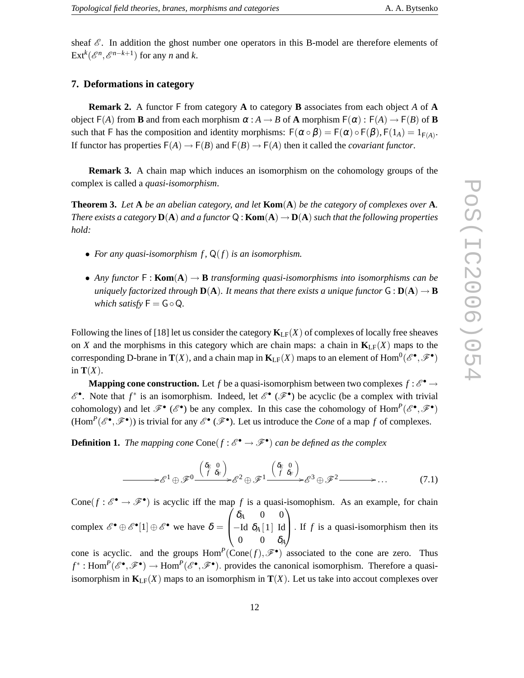sheaf  $\mathscr{E}$ . In addition the ghost number one operators in this B-model are therefore elements of  $\text{Ext}^k(\mathcal{E}^n, \mathcal{E}^{n-k+1})$  for any *n* and *k*.

## **7. Deformations in category**

**Remark 2.** A functor F from category **A** to category **B** associates from each object *A* of **A** object  $F(A)$  from **B** and from each morphism  $\alpha : A \to B$  of **A** morphism  $F(\alpha) : F(A) \to F(B)$  of **B** such that F has the composition and identity morphisms:  $F(\alpha \circ \beta) = F(\alpha) \circ F(\beta)$ ,  $F(1_A) = 1_{F(A)}$ . If functor has properties  $F(A) \to F(B)$  and  $F(B) \to F(A)$  then it called the *covariant functor*.

**Remark 3.** A chain map which induces an isomorphism on the cohomology groups of the complex is called a *quasi-isomorphism*.

**Theorem 3.** *Let* **A** *be an abelian category, and let* **Kom**(**A**) *be the category of complexes over* **A***. There exists a category*  $D(A)$  *and a functor*  $Q$  : **Kom** $(A) \rightarrow D(A)$  *such that the following properties hold:*

- For any quasi-isomorphism  $f$ ,  $Q(f)$  *is an isomorphism.*
- *Any functor* F : **Kom**(**A**) → **B** *transforming quasi-isomorphisms into isomorphisms can be uniquely factorized through*  $D(A)$ *. It means that there exists a unique functor*  $G : D(A) \rightarrow B$ *which satisfy*  $F = G \circ Q$ .

Following the lines of [18] let us consider the category  $\mathbf{K}_{LF}(X)$  of complexes of locally free sheaves on *X* and the morphisms in this category which are chain maps: a chain in  $\mathbf{K}_{\text{LF}}(X)$  maps to the corresponding D-brane in  $\mathbf{T}(X)$ , and a chain map in  $\mathbf{K}_{\mathrm{LF}}(X)$  maps to an element of  $\mathrm{Hom}^0(\mathscr{E}^\bullet,\mathscr{F}^\bullet)$ in  $\mathbf{T}(X)$ .

**Mapping cone construction.** Let *f* be a quasi-isomorphism between two complexes  $f : \mathcal{E}^{\bullet} \to$  $\mathscr{E}^{\bullet}$ . Note that  $f^*$  is an isomorphism. Indeed, let  $\mathscr{E}^{\bullet}(\mathscr{F}^{\bullet})$  be acyclic (be a complex with trivial cohomology) and let  $\mathscr{F}^{\bullet}(\mathscr{E}^{\bullet})$  be any complex. In this case the cohomology of  $Hom^P(\mathscr{E}^{\bullet}, \mathscr{F}^{\bullet})$  $(\text{Hom}^P(\mathscr{E}^\bullet, \mathscr{F}^\bullet))$  is trivial for any  $\mathscr{E}^\bullet(\mathscr{F}^\bullet)$ . Let us introduce the *Cone* of a map *f* of complexes.

**Definition 1.** The mapping cone  $Cone(f : \mathcal{E}^{\bullet} \to \mathcal{F}^{\bullet})$  can be defined as the complex

$$
\longrightarrow \mathcal{E}^1 \oplus \mathcal{F}^0 \xrightarrow{\begin{pmatrix} \delta_E & 0 \\ f & \delta_F \end{pmatrix}} \mathcal{E}^2 \oplus \mathcal{F}^1 \xrightarrow{\begin{pmatrix} \delta_E & 0 \\ f & \delta_F \end{pmatrix}} \mathcal{E}^3 \oplus \mathcal{F}^2 \longrightarrow \dots \tag{7.1}
$$

Cone( $f : \mathscr{E}^{\bullet} \to \mathscr{F}^{\bullet}$ ) is acyclic iff the map f is a quasi-isomophism. As an example, for chain complex  $\mathscr{E}^{\bullet} \oplus \mathscr{E}^{\bullet}[1] \oplus \mathscr{E}^{\bullet}$  we have  $\delta =$  $\sqrt{ }$  $\mathbf{I}$  $\delta$ <sup>*A*</sup> 0 0 −Id <sup>δ</sup>*<sup>A</sup>* [1] Id  $0 \t 0 \t \delta_A$  $\setminus$  $\left| \cdot \right|$ . If *f* is a quasi-isomorphism then its

cone is acyclic. and the groups  $Hom^P(Cone(f), \mathcal{F}^{\bullet})$  associated to the cone are zero. Thus  $f^*$ : Hom<sup>*P*</sup>( $\mathscr{E}^{\bullet}, \mathscr{F}^{\bullet}$ ) → Hom<sup>*P*</sup>( $\mathscr{E}^{\bullet}, \mathscr{F}^{\bullet}$ ). provides the canonical isomorphism. Therefore a quasiisomorphism in  $\mathbf{K}_{LF}(X)$  maps to an isomorphism in  $\mathbf{T}(X)$ . Let us take into accout complexes over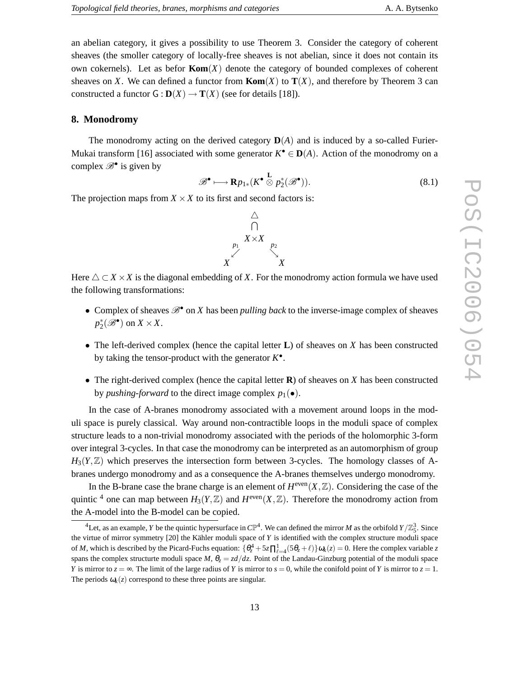an abelian category, it gives a possibility to use Theorem 3. Consider the category of coherent sheaves (the smoller category of locally-free sheaves is not abelian, since it does not contain its own cokernels). Let as befor  $\text{Kom}(X)$  denote the category of bounded complexes of coherent sheaves on *X*. We can defined a functor from **Kom**(*X*) to  $T(X)$ , and therefore by Theorem 3 can constructed a functor  $G : D(X) \to T(X)$  (see for details [18]).

#### **8. Monodromy**

The monodromy acting on the derived category  $D(A)$  and is induced by a so-called Furier-Mukai transform [16] associated with some generator  $K^{\bullet} \in \mathbf{D}(A)$ . Action of the monodromy on a complex  $\mathscr{B}^{\bullet}$  is given by

$$
\mathscr{B}^{\bullet} \longmapsto \mathbf{R} p_{1*}(K^{\bullet} \overset{\mathbf{L}}{\otimes} p_2^*(\mathscr{B}^{\bullet})). \tag{8.1}
$$

The projection maps from  $X \times X$  to its first and second factors is:



Here  $\triangle \subset X \times X$  is the diagonal embedding of X. For the monodromy action formula we have used the following transformations:

- Complex of sheaves  $\mathscr{B}^{\bullet}$  on *X* has been *pulling back* to the inverse-image complex of sheaves  $p_2^*(\mathscr{B}^{\bullet})$  on  $X \times X$ .
- The left-derived complex (hence the capital letter **L**) of sheaves on *X* has been constructed by taking the tensor-product with the generator  $K^{\bullet}$ .
- The right-derived complex (hence the capital letter **R**) of sheaves on *X* has been constructed by *pushing-forward* to the direct image complex  $p_1(\bullet)$ .

In the case of A-branes monodromy associated with a movement around loops in the moduli space is purely classical. Way around non-contractible loops in the moduli space of complex structure leads to a non-trivial monodromy associated with the periods of the holomorphic 3-form over integral 3-cycles. In that case the monodromy can be interpreted as an automorphism of group  $H_3(Y, \mathbb{Z})$  which preserves the intersection form between 3-cycles. The homology classes of Abranes undergo monodromy and as a consequence the A-branes themselves undergo monodromy.

In the B-brane case the brane charge is an element of  $H^{\text{even}}(X,\mathbb{Z})$ . Considering the case of the quintic <sup>4</sup> one can map between  $H_3(Y, \mathbb{Z})$  and  $H^{\text{even}}(X, \mathbb{Z})$ . Therefore the monodromy action from the A-model into the B-model can be copied.

<sup>&</sup>lt;sup>4</sup>Let, as an example, *Y* be the quintic hypersurface in  $\mathbb{CP}^4$ . We can defined the mirror *M* as the orbifold  $Y/\mathbb{Z}_5^3$ . Since the virtue of mirror symmetry  $[20]$  the Kähler moduli space of *Y* is identified with the complex structure moduli space of *M*, which is described by the Picard-Fuchs equation:  $\{\theta_z^4 + 5z\prod_{\ell=4}^1(5\theta_z+\ell)\}\omega_k(z) = 0$ . Here the complex variable *z* spans the complex structurte moduli space *M*,  $\theta_z = z d/dz$ . Point of the Landau-Ginzburg potential of the moduli space *Y* is mirror to  $z = \infty$ . The limit of the large radius of *Y* is mirror to  $s = 0$ , while the conifold point of *Y* is mirror to  $z = 1$ . The periods  $\omega_k(z)$  correspond to these three points are singular.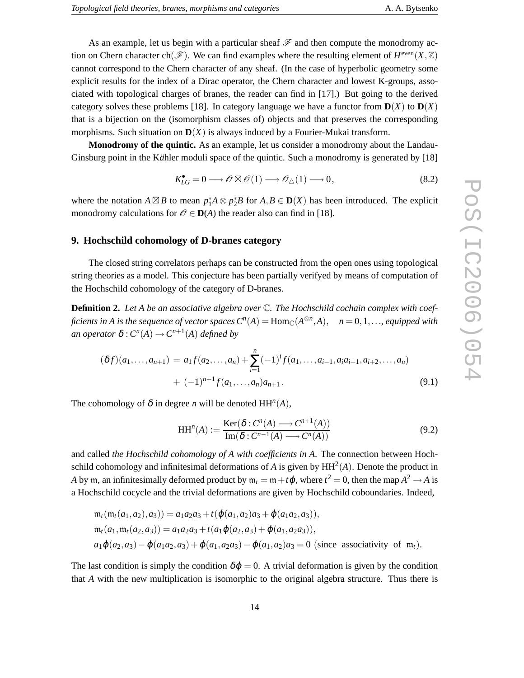As an example, let us begin with a particular sheaf  $\mathscr F$  and then compute the monodromy action on Chern character ch( $\mathscr{F}$ ). We can find examples where the resulting element of  $H^{\text{even}}(X,\mathbb{Z})$ cannot correspond to the Chern character of any sheaf. (In the case of hyperbolic geometry some explicit results for the index of a Dirac operator, the Chern character and lowest K-groups, associated with topological charges of branes, the reader can find in [17].) But going to the derived category solves these problems [18]. In category language we have a functor from  $D(X)$  to  $D(X)$ that is a bijection on the (isomorphism classes of) objects and that preserves the corresponding morphisms. Such situation on  $D(X)$  is always induced by a Fourier-Mukai transform.

**Monodromy of the quintic.** As an example, let us consider a monodromy about the Landau-Ginsburg point in the Kähler moduli space of the quintic. Such a monodromy is generated by [18]

$$
K_{LG}^{\bullet} = 0 \longrightarrow \mathcal{O} \boxtimes \mathcal{O}(1) \longrightarrow \mathcal{O}_{\triangle}(1) \longrightarrow 0, \tag{8.2}
$$

where the notation  $A \boxtimes B$  to mean  $p_1^* A \otimes p_2^* B$  for  $A, B \in \mathbf{D}(X)$  has been introduced. The explicit monodromy calculations for  $\mathcal{O} \in \mathbf{D}(A)$  the reader also can find in [18].

# **9. Hochschild cohomology of D-branes category**

The closed string correlators perhaps can be constructed from the open ones using topological string theories as a model. This conjecture has been partially verifyed by means of computation of the Hochschild cohomology of the category of D-branes.

**Definition 2.** *Let A be an associative algebra over* C*. The Hochschild cochain complex with coefficients in A is the sequence of vector spaces*  $C^n(A) = \text{Hom}_{\mathbb{C}}(A^{\otimes n},A)$ ,  $n = 0,1,...$ *, equipped with*  $an$  *operator*  $\delta$  :  $C^n(A) \rightarrow C^{n+1}(A)$  *defined by* 

$$
(\delta f)(a_1, \ldots, a_{n+1}) = a_1 f(a_2, \ldots, a_n) + \sum_{i=1}^n (-1)^i f(a_1, \ldots, a_{i-1}, a_i a_{i+1}, a_{i+2}, \ldots, a_n) + (-1)^{n+1} f(a_1, \ldots, a_n) a_{n+1}.
$$
\n
$$
(9.1)
$$

The cohomology of  $\delta$  in degree *n* will be denoted  $HH^n(A)$ ,

$$
HHn(A) := \frac{\text{Ker}(\delta : C^{n}(A) \longrightarrow C^{n+1}(A))}{\text{Im}(\delta : C^{n-1}(A) \longrightarrow C^{n}(A))}
$$
(9.2)

and called *the Hochschild cohomology of A with coefficients in A*. The connection between Hochschild cohomology and infinitesimal deformations of  $A$  is given by  $HH<sup>2</sup>(A)$ . Denote the product in *A* by m, an infinitesimally deformed product by  $m_t = m + t\phi$ , where  $t^2 = 0$ , then the map  $A^2 \rightarrow A$  is a Hochschild cocycle and the trivial deformations are given by Hochschild coboundaries. Indeed,

$$
m_t(m_t(a_1, a_2), a_3) = a_1a_2a_3 + t(\varphi(a_1, a_2)a_3 + \varphi(a_1a_2, a_3)),
$$
  
\n
$$
m_t(a_1, m_t(a_2, a_3)) = a_1a_2a_3 + t(a_1\varphi(a_2, a_3) + \varphi(a_1, a_2a_3)),
$$
  
\n
$$
a_1\varphi(a_2, a_3) - \varphi(a_1a_2, a_3) + \varphi(a_1, a_2a_3) - \varphi(a_1, a_2)a_3 = 0
$$
 (since associativity of  $m_t$ ).

The last condition is simply the condition  $\delta\varnothing = 0$ . A trivial deformation is given by the condition that *A* with the new multiplication is isomorphic to the original algebra structure. Thus there is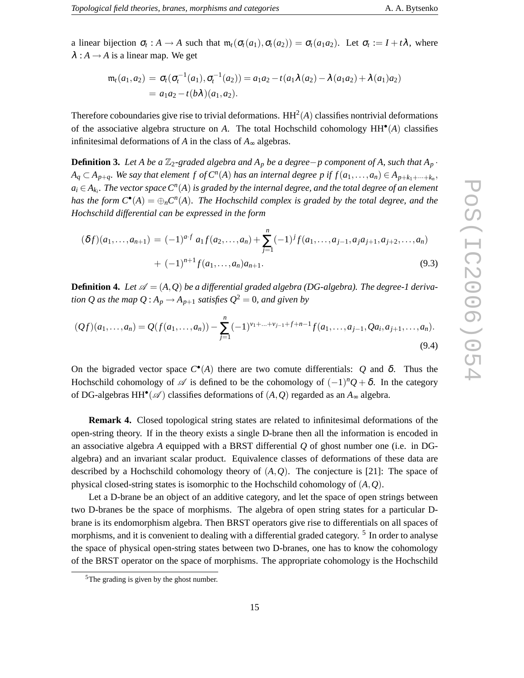a linear bijection  $\sigma_t : A \to A$  such that  $m_t(\sigma_t(a_1), \sigma_t(a_2)) = \sigma_t(a_1a_2)$ . Let  $\sigma_t := I + t\lambda$ , where  $\lambda : A \rightarrow A$  is a linear map. We get

$$
\mathfrak{m}_t(a_1, a_2) = \sigma_t(\sigma_t^{-1}(a_1), \sigma_t^{-1}(a_2)) = a_1 a_2 - t(a_1 \lambda(a_2) - \lambda(a_1 a_2) + \lambda(a_1) a_2)
$$
  
=  $a_1 a_2 - t(b\lambda)(a_1, a_2).$ 

Therefore coboundaries give rise to trivial deformations.  $HH<sup>2</sup>(A)$  classifies nontrivial deformations of the associative algebra structure on *A*. The total Hochschild cohomology HH• (*A*) classifies infinitesimal deformations of *A* in the class of *A*<sup>∞</sup> algebras.

**Definition 3.** *Let A be a*  $\mathbb{Z}_2$ -graded algebra and  $A_p$  *be a degree*−*p* component of A, such that  $A_p$ .  $A_q \subset A_{p+q}$ . We say that element  $f$  of  $C^n(A)$  has an internal degree  $p$  if  $f(a_1,...,a_n) \in A_{p+k_1+...+k_n}$  $a_i \,{\in}\, A_{k_i}$ . The vector space  $C^n(A)$  is graded by the internal degree, and the total degree of an element *has the form*  $C^{\bullet}(A) = \bigoplus_n C^n(A)$ . The Hochschild complex is graded by the total degree, and the *Hochschild differential can be expressed in the form*

$$
(\delta f)(a_1, \ldots, a_{n+1}) = (-1)^{a \cdot f} a_1 f(a_2, \ldots, a_n) + \sum_{j=1}^n (-1)^j f(a_1, \ldots, a_{j-1}, a_j a_{j+1}, a_{j+2}, \ldots, a_n)
$$
  
+  $(-1)^{n+1} f(a_1, \ldots, a_n) a_{n+1}.$  (9.3)

**Definition 4.** Let  $\mathscr{A} = (A, Q)$  be a differential graded algebra (DG-algebra). The degree-1 deriva*tion Q as the map*  $Q : A_p \to A_{p+1}$  *satisfies*  $Q^2 = 0$ *, and given by* 

$$
(Qf)(a_1,\ldots,a_n) = Q(f(a_1,\ldots,a_n)) - \sum_{j=1}^n (-1)^{v_1+\ldots+v_{j-1}+f+n-1} f(a_1,\ldots,a_{j-1},Qa_i,a_{j+1},\ldots,a_n).
$$
\n(9.4)

On the bigraded vector space  $C^{\bullet}(A)$  there are two comute differentials: *Q* and δ. Thus the Hochschild cohomology of  $\mathscr A$  is defined to be the cohomology of  $(-1)^n Q + \delta$ . In the category of DG-algebras  $HH^{\bullet}(\mathscr{A})$  classifies deformations of  $(A, Q)$  regarded as an  $A_{\infty}$  algebra.

**Remark 4.** Closed topological string states are related to infinitesimal deformations of the open-string theory. If in the theory exists a single D-brane then all the information is encoded in an associative algebra *A* equipped with a BRST differential *Q* of ghost number one (i.e. in DGalgebra) and an invariant scalar product. Equivalence classes of deformations of these data are described by a Hochschild cohomology theory of (*A*,*Q*). The conjecture is [21]: The space of physical closed-string states is isomorphic to the Hochschild cohomology of (*A*,*Q*).

Let a D-brane be an object of an additive category, and let the space of open strings between two D-branes be the space of morphisms. The algebra of open string states for a particular Dbrane is its endomorphism algebra. Then BRST operators give rise to differentials on all spaces of morphisms, and it is convenient to dealing with a differential graded category. <sup>5</sup> In order to analyse the space of physical open-string states between two D-branes, one has to know the cohomology of the BRST operator on the space of morphisms. The appropriate cohomology is the Hochschild

<sup>5</sup>The grading is given by the ghost number.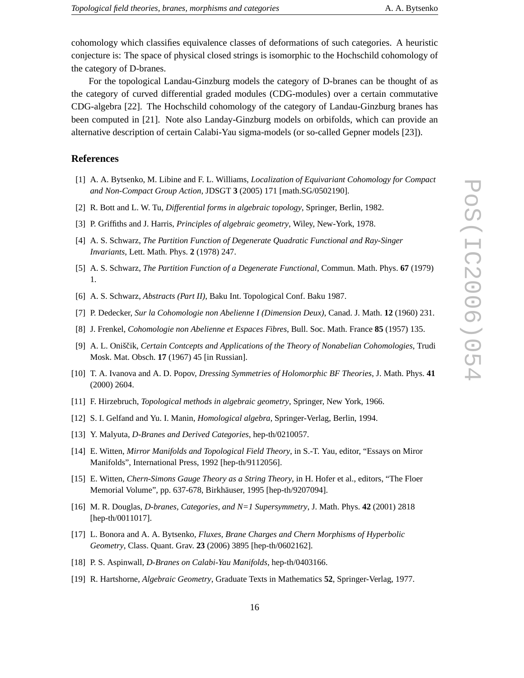cohomology which classifies equivalence classes of deformations of such categories. A heuristic conjecture is: The space of physical closed strings is isomorphic to the Hochschild cohomology of the category of D-branes.

For the topological Landau-Ginzburg models the category of D-branes can be thought of as the category of curved differential graded modules (CDG-modules) over a certain commutative CDG-algebra [22]. The Hochschild cohomology of the category of Landau-Ginzburg branes has been computed in [21]. Note also Landay-Ginzburg models on orbifolds, which can provide an alternative description of certain Calabi-Yau sigma-models (or so-called Gepner models [23]).

#### **References**

- [1] A. A. Bytsenko, M. Libine and F. L. Williams, *Localization of Equivariant Cohomology for Compact and Non-Compact Group Action*, JDSGT **3** (2005) 171 [math.SG/0502190].
- [2] R. Bott and L. W. Tu, *Differential forms in algebraic topology*, Springer, Berlin, 1982.
- [3] P. Griffiths and J. Harris, *Principles of algebraic geometry*, Wiley, New-York, 1978.
- [4] A. S. Schwarz, *The Partition Function of Degenerate Quadratic Functional and Ray-Singer Invariants*, Lett. Math. Phys. **2** (1978) 247.
- [5] A. S. Schwarz, *The Partition Function of a Degenerate Functional*, Commun. Math. Phys. **67** (1979) 1.
- [6] A. S. Schwarz, *Abstracts (Part II)*, Baku Int. Topological Conf. Baku 1987.
- [7] P. Dedecker, *Sur la Cohomologie non Abelienne I (Dimension Deux)*, Canad. J. Math. **12** (1960) 231.
- [8] J. Frenkel, *Cohomologie non Abelienne et Espaces Fibres*, Bull. Soc. Math. France **85** (1957) 135.
- [9] A. L. Oniščik, *Certain Contcepts and Applications of the Theory of Nonabelian Cohomologies*, Trudi Mosk. Mat. Obsch. **17** (1967) 45 [in Russian].
- [10] T. A. Ivanova and A. D. Popov, *Dressing Symmetries of Holomorphic BF Theories*, J. Math. Phys. **41** (2000) 2604.
- [11] F. Hirzebruch, *Topological methods in algebraic geometry*, Springer, New York, 1966.
- [12] S. I. Gelfand and Yu. I. Manin, *Homological algebra*, Springer-Verlag, Berlin, 1994.
- [13] Y. Malyuta, *D-Branes and Derived Categories*, hep-th/0210057.
- [14] E. Witten, *Mirror Manifolds and Topological Field Theory*, in S.-T. Yau, editor, "Essays on Miror Manifolds", International Press, 1992 [hep-th/9112056].
- [15] E. Witten, *Chern-Simons Gauge Theory as a String Theory*, in H. Hofer et al., editors, "The Floer Memorial Volume", pp. 637-678, Birkhäuser, 1995 [hep-th/9207094].
- [16] M. R. Douglas, *D-branes, Categories, and N=1 Supersymmetry*, J. Math. Phys. **42** (2001) 2818 [hep-th/0011017].
- [17] L. Bonora and A. A. Bytsenko, *Fluxes, Brane Charges and Chern Morphisms of Hyperbolic Geometry*, Class. Quant. Grav. **23** (2006) 3895 [hep-th/0602162].
- [18] P. S. Aspinwall, *D-Branes on Calabi-Yau Manifolds*, hep-th/0403166.
- [19] R. Hartshorne, *Algebraic Geometry*, Graduate Texts in Mathematics **52**, Springer-Verlag, 1977.